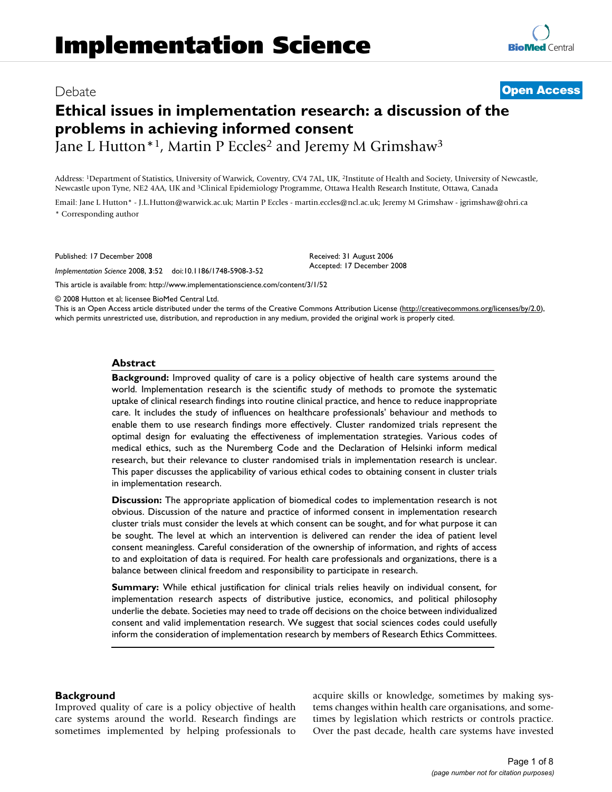# Debate **[Open Access](http://www.biomedcentral.com/info/about/charter/)**

# **Ethical issues in implementation research: a discussion of the problems in achieving informed consent**

Jane L Hutton<sup>\*1</sup>, Martin P Eccles<sup>2</sup> and Jeremy M Grimshaw<sup>3</sup>

Address: 1Department of Statistics, University of Warwick, Coventry, CV4 7AL, UK, 2Institute of Health and Society, University of Newcastle, Newcastle upon Tyne, NE2 4AA, UK and 3Clinical Epidemiology Programme, Ottawa Health Research Institute, Ottawa, Canada

Email: Jane L Hutton\* - J.L.Hutton@warwick.ac.uk; Martin P Eccles - martin.eccles@ncl.ac.uk; Jeremy M Grimshaw - jgrimshaw@ohri.ca \* Corresponding author

Published: 17 December 2008

*Implementation Science* 2008, **3**:52 doi:10.1186/1748-5908-3-52

Received: 31 August 2006 Accepted: 17 December 2008

[This article is available from: http://www.implementationscience.com/content/3/1/52](http://www.implementationscience.com/content/3/1/52)

© 2008 Hutton et al; licensee BioMed Central Ltd.

This is an Open Access article distributed under the terms of the Creative Commons Attribution License [\(http://creativecommons.org/licenses/by/2.0\)](http://creativecommons.org/licenses/by/2.0), which permits unrestricted use, distribution, and reproduction in any medium, provided the original work is properly cited.

#### **Abstract**

**Background:** Improved quality of care is a policy objective of health care systems around the world. Implementation research is the scientific study of methods to promote the systematic uptake of clinical research findings into routine clinical practice, and hence to reduce inappropriate care. It includes the study of influences on healthcare professionals' behaviour and methods to enable them to use research findings more effectively. Cluster randomized trials represent the optimal design for evaluating the effectiveness of implementation strategies. Various codes of medical ethics, such as the Nuremberg Code and the Declaration of Helsinki inform medical research, but their relevance to cluster randomised trials in implementation research is unclear. This paper discusses the applicability of various ethical codes to obtaining consent in cluster trials in implementation research.

**Discussion:** The appropriate application of biomedical codes to implementation research is not obvious. Discussion of the nature and practice of informed consent in implementation research cluster trials must consider the levels at which consent can be sought, and for what purpose it can be sought. The level at which an intervention is delivered can render the idea of patient level consent meaningless. Careful consideration of the ownership of information, and rights of access to and exploitation of data is required. For health care professionals and organizations, there is a balance between clinical freedom and responsibility to participate in research.

**Summary:** While ethical justification for clinical trials relies heavily on individual consent, for implementation research aspects of distributive justice, economics, and political philosophy underlie the debate. Societies may need to trade off decisions on the choice between individualized consent and valid implementation research. We suggest that social sciences codes could usefully inform the consideration of implementation research by members of Research Ethics Committees.

#### **Background**

Improved quality of care is a policy objective of health care systems around the world. Research findings are sometimes implemented by helping professionals to acquire skills or knowledge, sometimes by making systems changes within health care organisations, and sometimes by legislation which restricts or controls practice. Over the past decade, health care systems have invested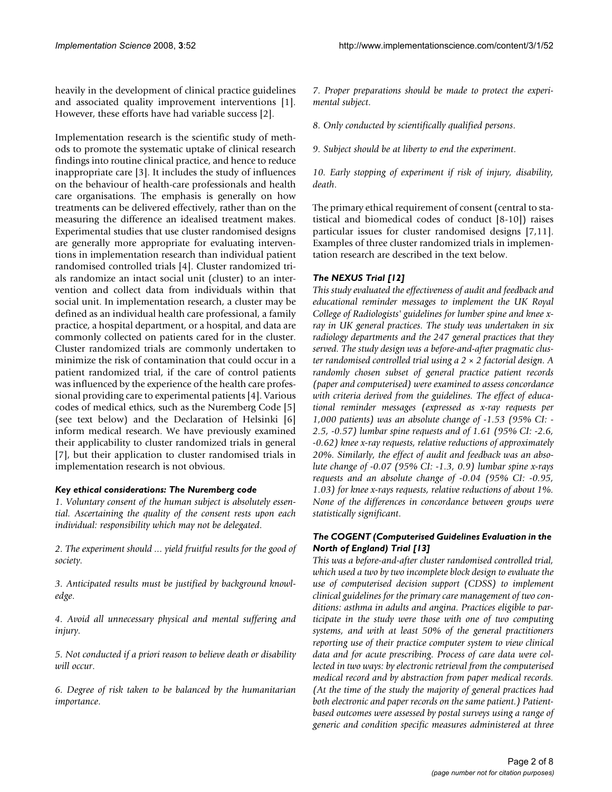heavily in the development of clinical practice guidelines and associated quality improvement interventions [1]. However, these efforts have had variable success [2].

Implementation research is the scientific study of methods to promote the systematic uptake of clinical research findings into routine clinical practice, and hence to reduce inappropriate care [3]. It includes the study of influences on the behaviour of health-care professionals and health care organisations. The emphasis is generally on how treatments can be delivered effectively, rather than on the measuring the difference an idealised treatment makes. Experimental studies that use cluster randomised designs are generally more appropriate for evaluating interventions in implementation research than individual patient randomised controlled trials [4]. Cluster randomized trials randomize an intact social unit (cluster) to an intervention and collect data from individuals within that social unit. In implementation research, a cluster may be defined as an individual health care professional, a family practice, a hospital department, or a hospital, and data are commonly collected on patients cared for in the cluster. Cluster randomized trials are commonly undertaken to minimize the risk of contamination that could occur in a patient randomized trial, if the care of control patients was influenced by the experience of the health care professional providing care to experimental patients [4]. Various codes of medical ethics, such as the Nuremberg Code [5] (see text below) and the Declaration of Helsinki [6] inform medical research. We have previously examined their applicability to cluster randomized trials in general [7], but their application to cluster randomised trials in implementation research is not obvious.

# *Key ethical considerations: The Nuremberg code*

*1. Voluntary consent of the human subject is absolutely essential. Ascertaining the quality of the consent rests upon each individual: responsibility which may not be delegated*.

*2. The experiment should ... yield fruitful results for the good of society*.

*3. Anticipated results must be justified by background knowledge*.

*4. Avoid all unnecessary physical and mental suffering and injury*.

*5. Not conducted if a priori reason to believe death or disability will occur*.

*6. Degree of risk taken to be balanced by the humanitarian importance*.

*7. Proper preparations should be made to protect the experimental subject*.

*8. Only conducted by scientifically qualified persons*.

*9. Subject should be at liberty to end the experiment*.

*10. Early stopping of experiment if risk of injury, disability, death*.

The primary ethical requirement of consent (central to statistical and biomedical codes of conduct [8-10]) raises particular issues for cluster randomised designs [7,11]. Examples of three cluster randomized trials in implementation research are described in the text below.

# *The NEXUS Trial [12]*

*This study evaluated the effectiveness of audit and feedback and educational reminder messages to implement the UK Royal College of Radiologists' guidelines for lumber spine and knee xray in UK general practices. The study was undertaken in six radiology departments and the 247 general practices that they served. The study design was a before-and-after pragmatic cluster randomised controlled trial using a 2 × 2 factorial design. A randomly chosen subset of general practice patient records (paper and computerised) were examined to assess concordance with criteria derived from the guidelines. The effect of educational reminder messages (expressed as x-ray requests per 1,000 patients) was an absolute change of -1.53 (95% CI: - 2.5, -0.57) lumbar spine requests and of 1.61 (95% CI: -2.6, -0.62) knee x-ray requests, relative reductions of approximately 20%. Similarly, the effect of audit and feedback was an absolute change of -0.07 (95% CI: -1.3, 0.9) lumbar spine x-rays requests and an absolute change of -0.04 (95% CI: -0.95, 1.03) for knee x-rays requests, relative reductions of about 1%. None of the differences in concordance between groups were statistically significant*.

# *The COGENT (Computerised Guidelines Evaluation in the North of England) Trial [13]*

*This was a before-and-after cluster randomised controlled trial, which used a two by two incomplete block design to evaluate the use of computerised decision support (CDSS) to implement clinical guidelines for the primary care management of two conditions: asthma in adults and angina. Practices eligible to participate in the study were those with one of two computing systems, and with at least 50% of the general practitioners reporting use of their practice computer system to view clinical data and for acute prescribing. Process of care data were collected in two ways: by electronic retrieval from the computerised medical record and by abstraction from paper medical records. (At the time of the study the majority of general practices had both electronic and paper records on the same patient.) Patientbased outcomes were assessed by postal surveys using a range of generic and condition specific measures administered at three*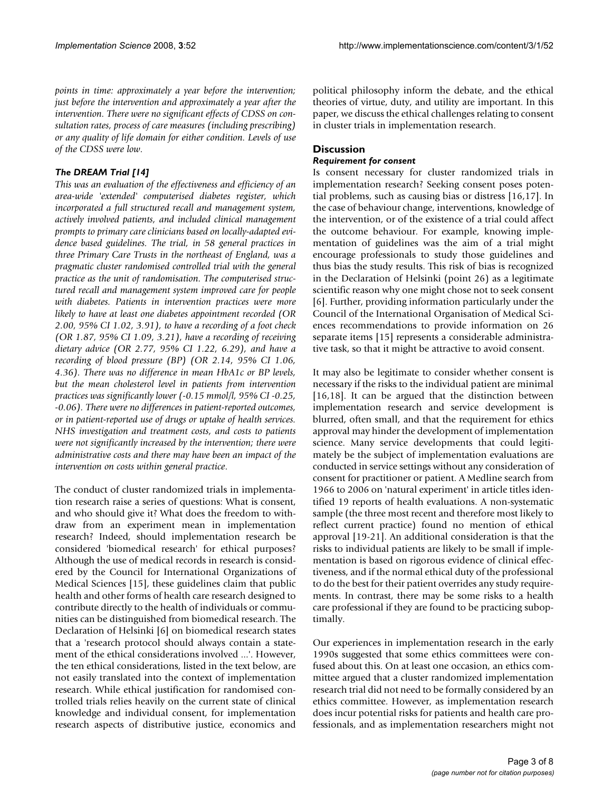*points in time: approximately a year before the intervention; just before the intervention and approximately a year after the intervention. There were no significant effects of CDSS on consultation rates, process of care measures (including prescribing) or any quality of life domain for either condition. Levels of use of the CDSS were low*.

#### *The DREAM Trial [14]*

*This was an evaluation of the effectiveness and efficiency of an area-wide 'extended' computerised diabetes register, which incorporated a full structured recall and management system, actively involved patients, and included clinical management prompts to primary care clinicians based on locally-adapted evidence based guidelines. The trial, in 58 general practices in three Primary Care Trusts in the northeast of England, was a pragmatic cluster randomised controlled trial with the general practice as the unit of randomisation. The computerised structured recall and management system improved care for people with diabetes. Patients in intervention practices were more likely to have at least one diabetes appointment recorded (OR 2.00, 95% CI 1.02, 3.91), to have a recording of a foot check (OR 1.87, 95% CI 1.09, 3.21), have a recording of receiving dietary advice (OR 2.77, 95% CI 1.22, 6.29), and have a recording of blood pressure (BP) (OR 2.14, 95% CI 1.06, 4.36). There was no difference in mean HbA1c or BP levels, but the mean cholesterol level in patients from intervention practices was significantly lower (-0.15 mmol/l, 95% CI -0.25, -0.06). There were no differences in patient-reported outcomes, or in patient-reported use of drugs or uptake of health services. NHS investigation and treatment costs, and costs to patients were not significantly increased by the intervention; there were administrative costs and there may have been an impact of the intervention on costs within general practice*.

The conduct of cluster randomized trials in implementation research raise a series of questions: What is consent, and who should give it? What does the freedom to withdraw from an experiment mean in implementation research? Indeed, should implementation research be considered 'biomedical research' for ethical purposes? Although the use of medical records in research is considered by the Council for International Organizations of Medical Sciences [15], these guidelines claim that public health and other forms of health care research designed to contribute directly to the health of individuals or communities can be distinguished from biomedical research. The Declaration of Helsinki [6] on biomedical research states that a 'research protocol should always contain a statement of the ethical considerations involved ...'. However, the ten ethical considerations, listed in the text below, are not easily translated into the context of implementation research. While ethical justification for randomised controlled trials relies heavily on the current state of clinical knowledge and individual consent, for implementation research aspects of distributive justice, economics and

political philosophy inform the debate, and the ethical theories of virtue, duty, and utility are important. In this paper, we discuss the ethical challenges relating to consent in cluster trials in implementation research.

#### **Discussion**

#### *Requirement for consent*

Is consent necessary for cluster randomized trials in implementation research? Seeking consent poses potential problems, such as causing bias or distress [16,17]. In the case of behaviour change, interventions, knowledge of the intervention, or of the existence of a trial could affect the outcome behaviour. For example, knowing implementation of guidelines was the aim of a trial might encourage professionals to study those guidelines and thus bias the study results. This risk of bias is recognized in the Declaration of Helsinki (point 26) as a legitimate scientific reason why one might chose not to seek consent [6]. Further, providing information particularly under the Council of the International Organisation of Medical Sciences recommendations to provide information on 26 separate items [15] represents a considerable administrative task, so that it might be attractive to avoid consent.

It may also be legitimate to consider whether consent is necessary if the risks to the individual patient are minimal [16,18]. It can be argued that the distinction between implementation research and service development is blurred, often small, and that the requirement for ethics approval may hinder the development of implementation science. Many service developments that could legitimately be the subject of implementation evaluations are conducted in service settings without any consideration of consent for practitioner or patient. A Medline search from 1966 to 2006 on 'natural experiment' in article titles identified 19 reports of health evaluations. A non-systematic sample (the three most recent and therefore most likely to reflect current practice) found no mention of ethical approval [19-21]. An additional consideration is that the risks to individual patients are likely to be small if implementation is based on rigorous evidence of clinical effectiveness, and if the normal ethical duty of the professional to do the best for their patient overrides any study requirements. In contrast, there may be some risks to a health care professional if they are found to be practicing suboptimally.

Our experiences in implementation research in the early 1990s suggested that some ethics committees were confused about this. On at least one occasion, an ethics committee argued that a cluster randomized implementation research trial did not need to be formally considered by an ethics committee. However, as implementation research does incur potential risks for patients and health care professionals, and as implementation researchers might not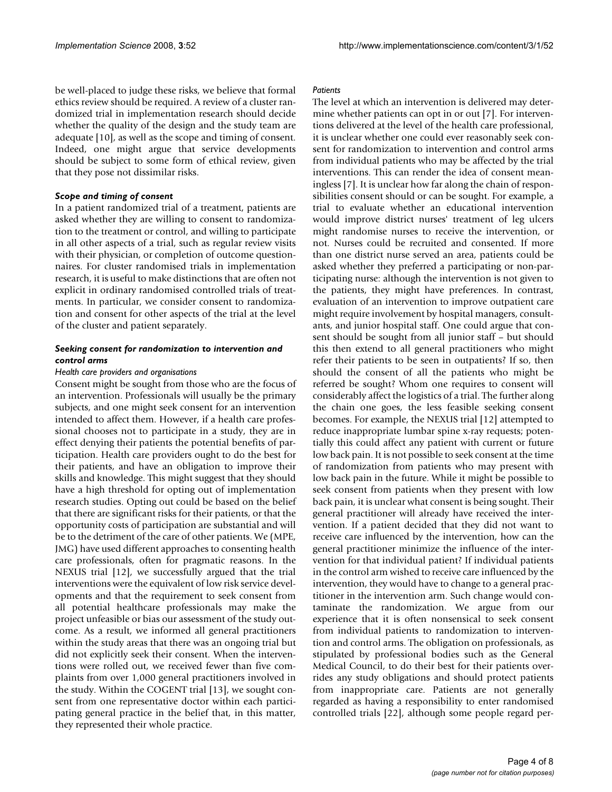be well-placed to judge these risks, we believe that formal ethics review should be required. A review of a cluster randomized trial in implementation research should decide whether the quality of the design and the study team are adequate [10], as well as the scope and timing of consent. Indeed, one might argue that service developments should be subject to some form of ethical review, given that they pose not dissimilar risks.

### *Scope and timing of consent*

In a patient randomized trial of a treatment, patients are asked whether they are willing to consent to randomization to the treatment or control, and willing to participate in all other aspects of a trial, such as regular review visits with their physician, or completion of outcome questionnaires. For cluster randomised trials in implementation research, it is useful to make distinctions that are often not explicit in ordinary randomised controlled trials of treatments. In particular, we consider consent to randomization and consent for other aspects of the trial at the level of the cluster and patient separately.

#### *Seeking consent for randomization to intervention and control arms*

#### *Health care providers and organisations*

Consent might be sought from those who are the focus of an intervention. Professionals will usually be the primary subjects, and one might seek consent for an intervention intended to affect them. However, if a health care professional chooses not to participate in a study, they are in effect denying their patients the potential benefits of participation. Health care providers ought to do the best for their patients, and have an obligation to improve their skills and knowledge. This might suggest that they should have a high threshold for opting out of implementation research studies. Opting out could be based on the belief that there are significant risks for their patients, or that the opportunity costs of participation are substantial and will be to the detriment of the care of other patients. We (MPE, JMG) have used different approaches to consenting health care professionals, often for pragmatic reasons. In the NEXUS trial [12], we successfully argued that the trial interventions were the equivalent of low risk service developments and that the requirement to seek consent from all potential healthcare professionals may make the project unfeasible or bias our assessment of the study outcome. As a result, we informed all general practitioners within the study areas that there was an ongoing trial but did not explicitly seek their consent. When the interventions were rolled out, we received fewer than five complaints from over 1,000 general practitioners involved in the study. Within the COGENT trial [13], we sought consent from one representative doctor within each participating general practice in the belief that, in this matter, they represented their whole practice.

#### *Patients*

The level at which an intervention is delivered may determine whether patients can opt in or out [7]. For interventions delivered at the level of the health care professional, it is unclear whether one could ever reasonably seek consent for randomization to intervention and control arms from individual patients who may be affected by the trial interventions. This can render the idea of consent meaningless [7]. It is unclear how far along the chain of responsibilities consent should or can be sought. For example, a trial to evaluate whether an educational intervention would improve district nurses' treatment of leg ulcers might randomise nurses to receive the intervention, or not. Nurses could be recruited and consented. If more than one district nurse served an area, patients could be asked whether they preferred a participating or non-participating nurse: although the intervention is not given to the patients, they might have preferences. In contrast, evaluation of an intervention to improve outpatient care might require involvement by hospital managers, consultants, and junior hospital staff. One could argue that consent should be sought from all junior staff – but should this then extend to all general practitioners who might refer their patients to be seen in outpatients? If so, then should the consent of all the patients who might be referred be sought? Whom one requires to consent will considerably affect the logistics of a trial. The further along the chain one goes, the less feasible seeking consent becomes. For example, the NEXUS trial [12] attempted to reduce inappropriate lumbar spine x-ray requests; potentially this could affect any patient with current or future low back pain. It is not possible to seek consent at the time of randomization from patients who may present with low back pain in the future. While it might be possible to seek consent from patients when they present with low back pain, it is unclear what consent is being sought. Their general practitioner will already have received the intervention. If a patient decided that they did not want to receive care influenced by the intervention, how can the general practitioner minimize the influence of the intervention for that individual patient? If individual patients in the control arm wished to receive care influenced by the intervention, they would have to change to a general practitioner in the intervention arm. Such change would contaminate the randomization. We argue from our experience that it is often nonsensical to seek consent from individual patients to randomization to intervention and control arms. The obligation on professionals, as stipulated by professional bodies such as the General Medical Council, to do their best for their patients overrides any study obligations and should protect patients from inappropriate care. Patients are not generally regarded as having a responsibility to enter randomised controlled trials [22], although some people regard per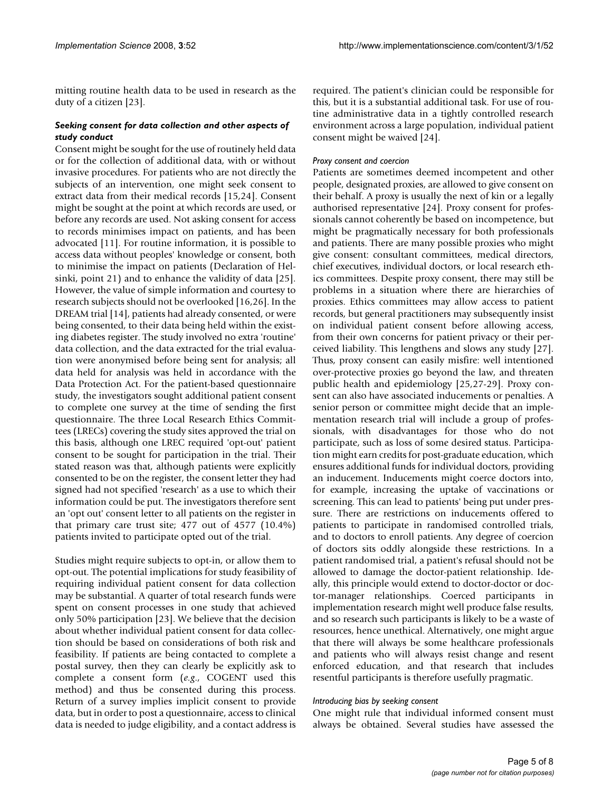mitting routine health data to be used in research as the duty of a citizen [23].

#### *Seeking consent for data collection and other aspects of study conduct*

Consent might be sought for the use of routinely held data or for the collection of additional data, with or without invasive procedures. For patients who are not directly the subjects of an intervention, one might seek consent to extract data from their medical records [15,24]. Consent might be sought at the point at which records are used, or before any records are used. Not asking consent for access to records minimises impact on patients, and has been advocated [11]. For routine information, it is possible to access data without peoples' knowledge or consent, both to minimise the impact on patients (Declaration of Helsinki, point 21) and to enhance the validity of data [25]. However, the value of simple information and courtesy to research subjects should not be overlooked [16,26]. In the DREAM trial [14], patients had already consented, or were being consented, to their data being held within the existing diabetes register. The study involved no extra 'routine' data collection, and the data extracted for the trial evaluation were anonymised before being sent for analysis; all data held for analysis was held in accordance with the Data Protection Act. For the patient-based questionnaire study, the investigators sought additional patient consent to complete one survey at the time of sending the first questionnaire. The three Local Research Ethics Committees (LRECs) covering the study sites approved the trial on this basis, although one LREC required 'opt-out' patient consent to be sought for participation in the trial. Their stated reason was that, although patients were explicitly consented to be on the register, the consent letter they had signed had not specified 'research' as a use to which their information could be put. The investigators therefore sent an 'opt out' consent letter to all patients on the register in that primary care trust site; 477 out of 4577 (10.4%) patients invited to participate opted out of the trial.

Studies might require subjects to opt-in, or allow them to opt-out. The potential implications for study feasibility of requiring individual patient consent for data collection may be substantial. A quarter of total research funds were spent on consent processes in one study that achieved only 50% participation [23]. We believe that the decision about whether individual patient consent for data collection should be based on considerations of both risk and feasibility. If patients are being contacted to complete a postal survey, then they can clearly be explicitly ask to complete a consent form (*e.g*., COGENT used this method) and thus be consented during this process. Return of a survey implies implicit consent to provide data, but in order to post a questionnaire, access to clinical data is needed to judge eligibility, and a contact address is

required. The patient's clinician could be responsible for this, but it is a substantial additional task. For use of routine administrative data in a tightly controlled research environment across a large population, individual patient consent might be waived [24].

### *Proxy consent and coercion*

Patients are sometimes deemed incompetent and other people, designated proxies, are allowed to give consent on their behalf. A proxy is usually the next of kin or a legally authorised representative [24]. Proxy consent for professionals cannot coherently be based on incompetence, but might be pragmatically necessary for both professionals and patients. There are many possible proxies who might give consent: consultant committees, medical directors, chief executives, individual doctors, or local research ethics committees. Despite proxy consent, there may still be problems in a situation where there are hierarchies of proxies. Ethics committees may allow access to patient records, but general practitioners may subsequently insist on individual patient consent before allowing access, from their own concerns for patient privacy or their perceived liability. This lengthens and slows any study [27]. Thus, proxy consent can easily misfire: well intentioned over-protective proxies go beyond the law, and threaten public health and epidemiology [25,27-29]. Proxy consent can also have associated inducements or penalties. A senior person or committee might decide that an implementation research trial will include a group of professionals, with disadvantages for those who do not participate, such as loss of some desired status. Participation might earn credits for post-graduate education, which ensures additional funds for individual doctors, providing an inducement. Inducements might coerce doctors into, for example, increasing the uptake of vaccinations or screening. This can lead to patients' being put under pressure. There are restrictions on inducements offered to patients to participate in randomised controlled trials, and to doctors to enroll patients. Any degree of coercion of doctors sits oddly alongside these restrictions. In a patient randomised trial, a patient's refusal should not be allowed to damage the doctor-patient relationship. Ideally, this principle would extend to doctor-doctor or doctor-manager relationships. Coerced participants in implementation research might well produce false results, and so research such participants is likely to be a waste of resources, hence unethical. Alternatively, one might argue that there will always be some healthcare professionals and patients who will always resist change and resent enforced education, and that research that includes resentful participants is therefore usefully pragmatic.

#### *Introducing bias by seeking consent*

One might rule that individual informed consent must always be obtained. Several studies have assessed the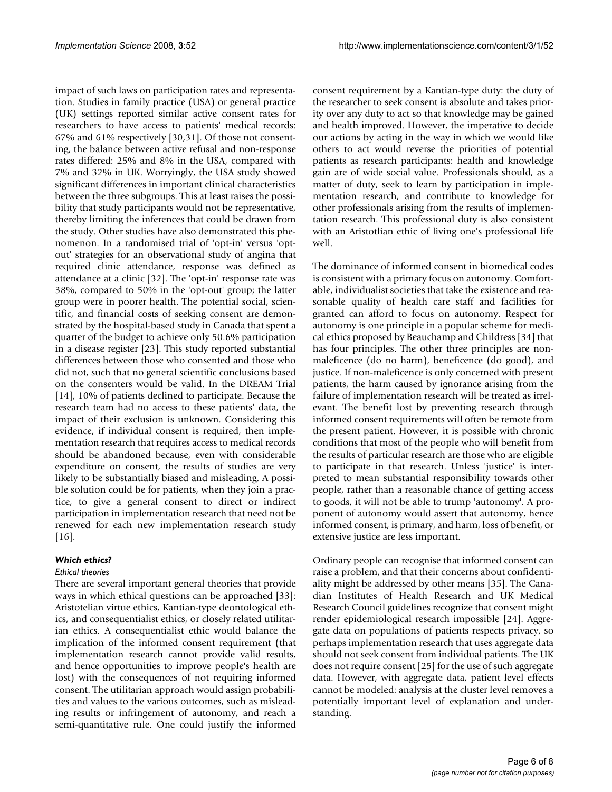impact of such laws on participation rates and representation. Studies in family practice (USA) or general practice (UK) settings reported similar active consent rates for researchers to have access to patients' medical records: 67% and 61% respectively [30,31]. Of those not consenting, the balance between active refusal and non-response rates differed: 25% and 8% in the USA, compared with 7% and 32% in UK. Worryingly, the USA study showed significant differences in important clinical characteristics between the three subgroups. This at least raises the possibility that study participants would not be representative, thereby limiting the inferences that could be drawn from the study. Other studies have also demonstrated this phenomenon. In a randomised trial of 'opt-in' versus 'optout' strategies for an observational study of angina that required clinic attendance, response was defined as attendance at a clinic [32]. The 'opt-in' response rate was 38%, compared to 50% in the 'opt-out' group; the latter group were in poorer health. The potential social, scientific, and financial costs of seeking consent are demonstrated by the hospital-based study in Canada that spent a quarter of the budget to achieve only 50.6% participation in a disease register [23]. This study reported substantial differences between those who consented and those who did not, such that no general scientific conclusions based on the consenters would be valid. In the DREAM Trial [14], 10% of patients declined to participate. Because the research team had no access to these patients' data, the impact of their exclusion is unknown. Considering this evidence, if individual consent is required, then implementation research that requires access to medical records should be abandoned because, even with considerable expenditure on consent, the results of studies are very likely to be substantially biased and misleading. A possible solution could be for patients, when they join a practice, to give a general consent to direct or indirect participation in implementation research that need not be renewed for each new implementation research study [16].

# *Which ethics?*

# *Ethical theories*

There are several important general theories that provide ways in which ethical questions can be approached [33]: Aristotelian virtue ethics, Kantian-type deontological ethics, and consequentialist ethics, or closely related utilitarian ethics. A consequentialist ethic would balance the implication of the informed consent requirement (that implementation research cannot provide valid results, and hence opportunities to improve people's health are lost) with the consequences of not requiring informed consent. The utilitarian approach would assign probabilities and values to the various outcomes, such as misleading results or infringement of autonomy, and reach a semi-quantitative rule. One could justify the informed

consent requirement by a Kantian-type duty: the duty of the researcher to seek consent is absolute and takes priority over any duty to act so that knowledge may be gained and health improved. However, the imperative to decide our actions by acting in the way in which we would like others to act would reverse the priorities of potential patients as research participants: health and knowledge gain are of wide social value. Professionals should, as a matter of duty, seek to learn by participation in implementation research, and contribute to knowledge for other professionals arising from the results of implementation research. This professional duty is also consistent with an Aristotlian ethic of living one's professional life well.

The dominance of informed consent in biomedical codes is consistent with a primary focus on autonomy. Comfortable, individualist societies that take the existence and reasonable quality of health care staff and facilities for granted can afford to focus on autonomy. Respect for autonomy is one principle in a popular scheme for medical ethics proposed by Beauchamp and Childress [34] that has four principles. The other three principles are nonmaleficence (do no harm), beneficence (do good), and justice. If non-maleficence is only concerned with present patients, the harm caused by ignorance arising from the failure of implementation research will be treated as irrelevant. The benefit lost by preventing research through informed consent requirements will often be remote from the present patient. However, it is possible with chronic conditions that most of the people who will benefit from the results of particular research are those who are eligible to participate in that research. Unless 'justice' is interpreted to mean substantial responsibility towards other people, rather than a reasonable chance of getting access to goods, it will not be able to trump 'autonomy'. A proponent of autonomy would assert that autonomy, hence informed consent, is primary, and harm, loss of benefit, or extensive justice are less important.

Ordinary people can recognise that informed consent can raise a problem, and that their concerns about confidentiality might be addressed by other means [35]. The Canadian Institutes of Health Research and UK Medical Research Council guidelines recognize that consent might render epidemiological research impossible [24]. Aggregate data on populations of patients respects privacy, so perhaps implementation research that uses aggregate data should not seek consent from individual patients. The UK does not require consent [25] for the use of such aggregate data. However, with aggregate data, patient level effects cannot be modeled: analysis at the cluster level removes a potentially important level of explanation and understanding.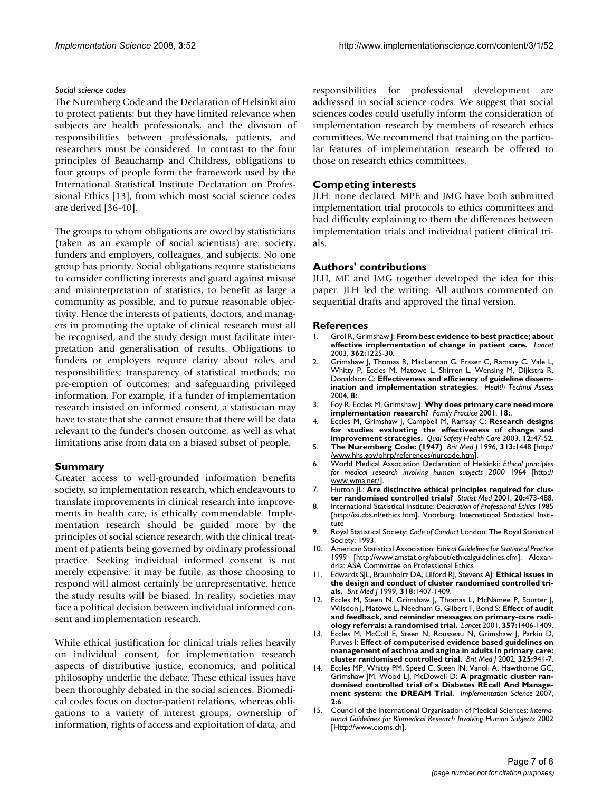### *Social science codes*

The Nuremberg Code and the Declaration of Helsinki aim to protect patients: but they have limited relevance when subjects are health professionals, and the division of responsibilities between professionals, patients, and researchers must be considered. In contrast to the four principles of Beauchamp and Childress, obligations to four groups of people form the framework used by the International Statistical Institute Declaration on Professional Ethics [13], from which most social science codes are derived [36-40].

The groups to whom obligations are owed by statisticians (taken as an example of social scientists) are: society, funders and employers, colleagues, and subjects. No one group has priority. Social obligations require statisticians to consider conflicting interests and guard against misuse and misinterpretation of statistics, to benefit as large a community as possible, and to pursue reasonable objectivity. Hence the interests of patients, doctors, and managers in promoting the uptake of clinical research must all be recognised, and the study design must facilitate interpretation and generalisation of results. Obligations to funders or employers require clarity about roles and responsibilities; transparency of statistical methods; no pre-emption of outcomes; and safeguarding privileged information. For example, if a funder of implementation research insisted on informed consent, a statistician may have to state that she cannot ensure that there will be data relevant to the funder's chosen outcome, as well as what limitations arise from data on a biased subset of people.

# **Summary**

Greater access to well-grounded information benefits society, so implementation research, which endeavours to translate improvements in clinical research into improvements in health care, is ethically commendable. Implementation research should be guided more by the principles of social science research, with the clinical treatment of patients being governed by ordinary professional practice. Seeking individual informed consent is not merely expensive: it may be futile, as those choosing to respond will almost certainly be unrepresentative, hence the study results will be biased. In reality, societies may face a political decision between individual informed consent and implementation research.

While ethical justification for clinical trials relies heavily on individual consent, for implementation research aspects of distributive justice, economics, and political philosophy underlie the debate. These ethical issues have been thoroughly debated in the social sciences. Biomedical codes focus on doctor-patient relations, whereas obligations to a variety of interest groups, ownership of information, rights of access and exploitation of data, and responsibilities for professional development are addressed in social science codes. We suggest that social sciences codes could usefully inform the consideration of implementation research by members of research ethics committees. We recommend that training on the particular features of implementation research be offered to those on research ethics committees.

# **Competing interests**

JLH: none declared. MPE and JMG have both submitted implementation trial protocols to ethics committees and had difficulty explaining to them the differences between implementation trials and individual patient clinical trials.

# **Authors' contributions**

JLH, ME and JMG together developed the idea for this paper. JLH led the writing. All authors commented on sequential drafts and approved the final version.

#### **References**

- 1. Grol R, Grimshaw J: **[From best evidence to best practice; about](http://www.ncbi.nlm.nih.gov/entrez/query.fcgi?cmd=Retrieve&db=PubMed&dopt=Abstract&list_uids=14568747) [effective implementation of change in patient care.](http://www.ncbi.nlm.nih.gov/entrez/query.fcgi?cmd=Retrieve&db=PubMed&dopt=Abstract&list_uids=14568747)** *Lancet* 2003, **362:**1225-30.
- 2. Grimshaw J, Thomas R, MacLennan G, Fraser C, Ramsay C, Vale L, Whitty P, Eccles M, Matowe L, Shirren L, Wensing M, Dijkstra R, Donaldson C: **[Effectiveness and efficiency of guideline dissem](http://www.ncbi.nlm.nih.gov/entrez/query.fcgi?cmd=Retrieve&db=PubMed&dopt=Abstract&list_uids=14960256)[ination and implementation strategies.](http://www.ncbi.nlm.nih.gov/entrez/query.fcgi?cmd=Retrieve&db=PubMed&dopt=Abstract&list_uids=14960256)** *Health Technol Assess* 2004, **8:**.
- 3. Foy R, Eccles M, Grimshaw J: **[Why does primary care need more](http://www.ncbi.nlm.nih.gov/entrez/query.fcgi?cmd=Retrieve&db=PubMed&dopt=Abstract&list_uids=11477039) [implementation research?](http://www.ncbi.nlm.nih.gov/entrez/query.fcgi?cmd=Retrieve&db=PubMed&dopt=Abstract&list_uids=11477039)** *Family Practice* 2001, **18:**.
- 4. Eccles M, Grimshaw J, Campbell M, Ramsay C: **Research designs for studies evaluating the effectiveness of change and improvement strategies.** *Qual Safety Health Care* 2003, **12:**47-52.
- 5. **The Nuremberg Code: (1947)** *Brit Med J* 1996, **313:**1448 [[http:/](http://www.hhs.gov/ohrp/references/nurcode.htm) [/www.hhs.gov/ohrp/references/nurcode.htm\]](http://www.hhs.gov/ohrp/references/nurcode.htm).
- 6. World Medical Association Declaration of Helsinki: *Ethical principles for medical research involving human subjects 2000* 1964 [\[http://](http://www.wma.net/) [www.wma.net/\]](http://www.wma.net/).
- 7. Hutton JL: **Are distinctive ethical principles required for cluster randomised controlled trials?** *Statist Med* 2001, **20:**473-488.
- 8. International Statistical Institute: *Declaration of Professional Ethics* 1985 [<http://isi.cbs.nl/ethics.htm>]. Voorburg: International Statistical Institute
- 9. Royal Statistical Society: *Code of Conduct* London: The Royal Statistical Society; 1993.
- 10. American Statistical Association: *Ethical Guidelines for Statistical Practice* 1999 [\[http://www.amstat.org/about/ethicalguidelines.cfm\]](http://www.amstat.org/about/ethicalguidelines.cfm). Alexandria: ASA Committee on Professional Ethics
- 11. Edwards SJL, Braunholtz DA, Lilford RJ, Stevens AJ: **[Ethical issues in](http://www.ncbi.nlm.nih.gov/entrez/query.fcgi?cmd=Retrieve&db=PubMed&dopt=Abstract&list_uids=10334756) [the design and conduct of cluster randomised controlled tri](http://www.ncbi.nlm.nih.gov/entrez/query.fcgi?cmd=Retrieve&db=PubMed&dopt=Abstract&list_uids=10334756)[als.](http://www.ncbi.nlm.nih.gov/entrez/query.fcgi?cmd=Retrieve&db=PubMed&dopt=Abstract&list_uids=10334756)** *Brit Med J* 1999, **318:**1407-1409.
- 12. Eccles M, Steen N, Grimshaw J, Thomas L, McNamee P, Soutter J, Wilsdon J, Matowe L, Needham G, Gilbert F, Bond S: **[Effect of audit](http://www.ncbi.nlm.nih.gov/entrez/query.fcgi?cmd=Retrieve&db=PubMed&dopt=Abstract&list_uids=11356439) [and feedback, and reminder messages on primary-care radi](http://www.ncbi.nlm.nih.gov/entrez/query.fcgi?cmd=Retrieve&db=PubMed&dopt=Abstract&list_uids=11356439)[ology referrals: a randomised trial.](http://www.ncbi.nlm.nih.gov/entrez/query.fcgi?cmd=Retrieve&db=PubMed&dopt=Abstract&list_uids=11356439)** *Lancet* 2001, **357:**1406-1409.
- 13. Eccles M, McColl E, Steen N, Rousseau N, Grimshaw J, Parkin D, Purves I: **[Effect of computerised evidence based guidelines on](http://www.ncbi.nlm.nih.gov/entrez/query.fcgi?cmd=Retrieve&db=PubMed&dopt=Abstract&list_uids=12399345) [management of asthma and angina in adults in primary care:](http://www.ncbi.nlm.nih.gov/entrez/query.fcgi?cmd=Retrieve&db=PubMed&dopt=Abstract&list_uids=12399345) [cluster randomised controlled trial.](http://www.ncbi.nlm.nih.gov/entrez/query.fcgi?cmd=Retrieve&db=PubMed&dopt=Abstract&list_uids=12399345)** *Brit Med J* 2002, **325:**941-7.
- 14. Eccles MP, Whitty PM, Speed C, Steen IN, Vanoli A, Hawthorne GC, Grimshaw JM, Wood LJ, McDowell D: **[A pragmatic cluster ran](http://www.ncbi.nlm.nih.gov/entrez/query.fcgi?cmd=Retrieve&db=PubMed&dopt=Abstract&list_uids=17306017)[domised controlled trial of a Diabetes REcall And Manage](http://www.ncbi.nlm.nih.gov/entrez/query.fcgi?cmd=Retrieve&db=PubMed&dopt=Abstract&list_uids=17306017)[ment system: the DREAM Trial.](http://www.ncbi.nlm.nih.gov/entrez/query.fcgi?cmd=Retrieve&db=PubMed&dopt=Abstract&list_uids=17306017)** *Implementation Science* 2007, **2:**6.
- 15. Council of the International Organisation of Medical Sciences: *International Guidelines for Biomedical Research Involving Human Subjects* 2002 [<Http://www.cioms.ch>].